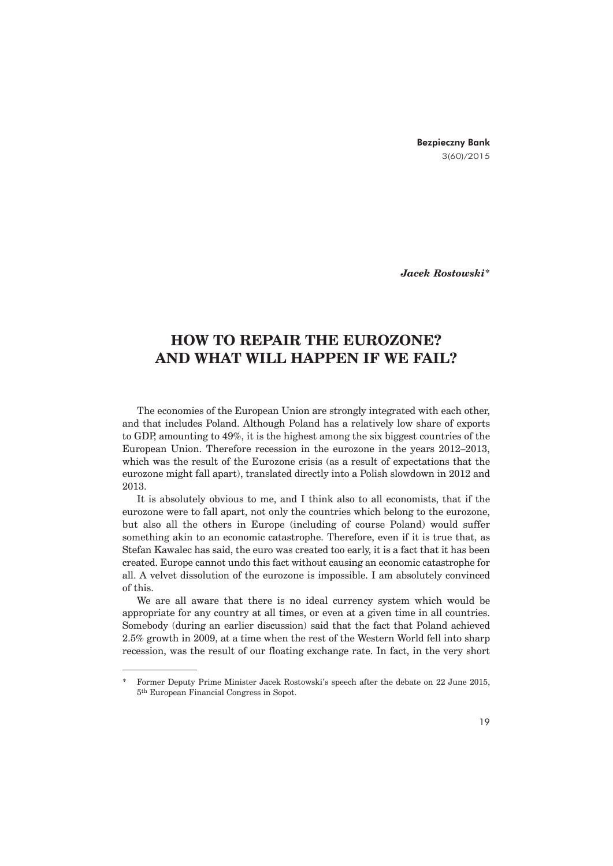Bezpieczny Bank 3(60)/2015

*Jacek Rostowski*\*

## **HOW TO REPAIR THE EUROZONE? AND WHAT WILL HAPPEN IF WE FAIL?**

The economies of the European Union are strongly integrated with each other, and that includes Poland. Although Poland has a relatively low share of exports to GDP, amounting to 49%, it is the highest among the six biggest countries of the European Union. Therefore recession in the eurozone in the years 2012–2013, which was the result of the Eurozone crisis (as a result of expectations that the eurozone might fall apart), translated directly into a Polish slowdown in 2012 and 2013.

It is absolutely obvious to me, and I think also to all economists, that if the eurozone were to fall apart, not only the countries which belong to the eurozone, but also all the others in Europe (including of course Poland) would suffer something akin to an economic catastrophe. Therefore, even if it is true that, as Stefan Kawalec has said, the euro was created too early, it is a fact that it has been created. Europe cannot undo this fact without causing an economic catastrophe for all. A velvet dissolution of the eurozone is impossible. I am absolutely convinced of this.

We are all aware that there is no ideal currency system which would be appropriate for any country at all times, or even at a given time in all countries. Somebody (during an earlier discussion) said that the fact that Poland achieved 2.5% growth in 2009, at a time when the rest of the Western World fell into sharp recession, was the result of our floating exchange rate. In fact, in the very short

<sup>\*</sup> Former Deputy Prime Minister Jacek Rostowski's speech after the debate on 22 June 2015, 5th European Financial Congress in Sopot.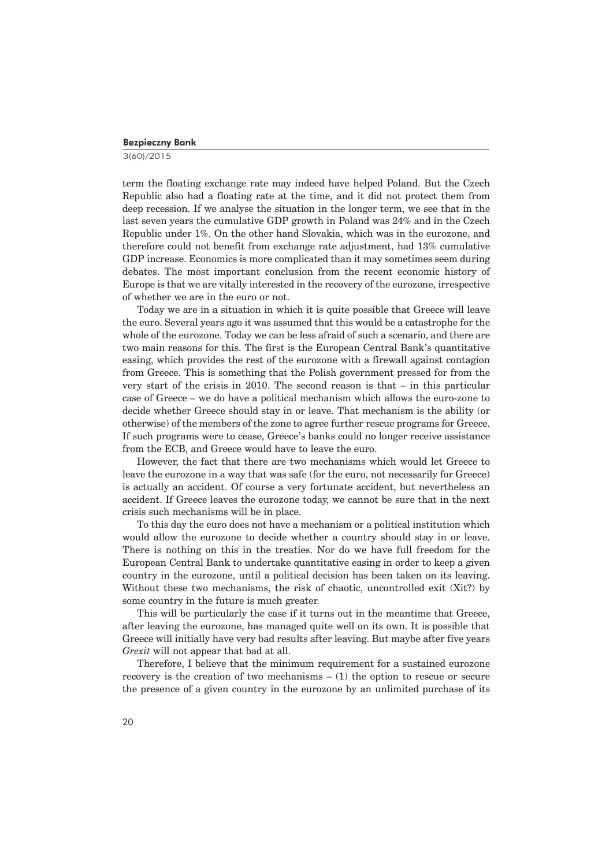## Bezpieczny Bank

3(60)/2015

term the floating exchange rate may indeed have helped Poland. But the Czech Republic also had a floating rate at the time, and it did not protect them from deep recession. If we analyse the situation in the longer term, we see that in the last seven years the cumulative GDP growth in Poland was 24% and in the Czech Republic under 1%. On the other hand Slovakia, which was in the eurozone, and therefore could not benefit from exchange rate adjustment, had 13% cumulative GDP increase. Economics is more complicated than it may sometimes seem during debates. The most important conclusion from the recent economic history of Europe is that we are vitally interested in the recovery of the eurozone, irrespective of whether we are in the euro or not.

Today we are in a situation in which it is quite possible that Greece will leave the euro. Several years ago it was assumed that this would be a catastrophe for the whole of the eurozone. Today we can be less afraid of such a scenario, and there are two main reasons for this. The first is the European Central Bank's quantitative easing, which provides the rest of the eurozone with a firewall against contagion from Greece. This is something that the Polish government pressed for from the very start of the crisis in 2010. The second reason is that – in this particular case of Greece – we do have a political mechanism which allows the euro-zone to decide whether Greece should stay in or leave. That mechanism is the ability (or otherwise) of the members of the zone to agree further rescue programs for Greece. If such programs were to cease, Greece's banks could no longer receive assistance from the ECB, and Greece would have to leave the euro.

However, the fact that there are two mechanisms which would let Greece to leave the eurozone in a way that was safe (for the euro, not necessarily for Greece) is actually an accident. Of course a very fortunate accident, but nevertheless an accident. If Greece leaves the eurozone today, we cannot be sure that in the next crisis such mechanisms will be in place.

To this day the euro does not have a mechanism or a political institution which would allow the eurozone to decide whether a country should stay in or leave. There is nothing on this in the treaties. Nor do we have full freedom for the European Central Bank to undertake quantitative easing in order to keep a given country in the eurozone, until a political decision has been taken on its leaving. Without these two mechanisms, the risk of chaotic, uncontrolled exit (Xit?) by some country in the future is much greater.

This will be particularly the case if it turns out in the meantime that Greece, after leaving the eurozone, has managed quite well on its own. It is possible that Greece will initially have very bad results after leaving. But maybe after five years *Grexit* will not appear that bad at all.

Therefore, I believe that the minimum requirement for a sustained eurozone recovery is the creation of two mechanisms – (1) the option to rescue or secure the presence of a given country in the eurozone by an unlimited purchase of its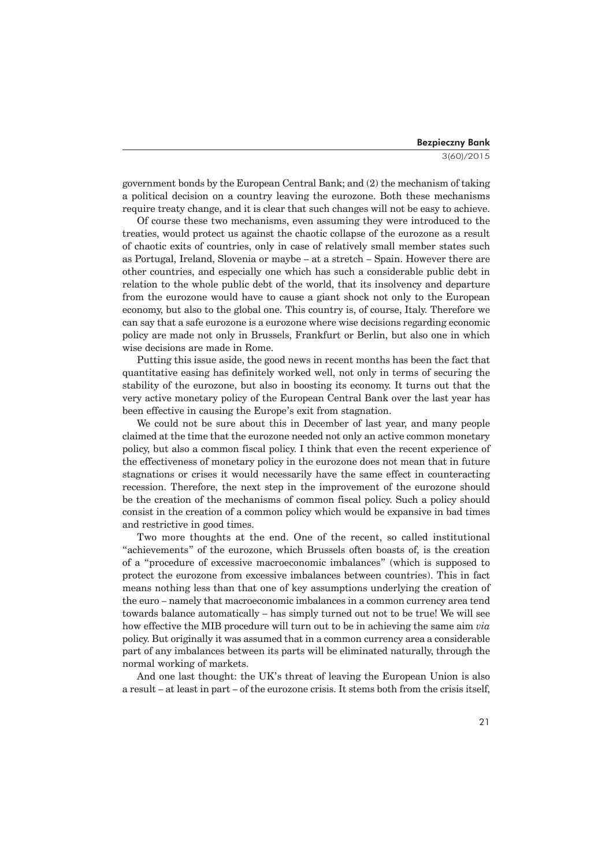government bonds by the European Central Bank; and (2) the mechanism of taking a political decision on a country leaving the eurozone. Both these mechanisms require treaty change, and it is clear that such changes will not be easy to achieve.

Of course these two mechanisms, even assuming they were introduced to the treaties, would protect us against the chaotic collapse of the eurozone as a result of chaotic exits of countries, only in case of relatively small member states such as Portugal, Ireland, Slovenia or maybe – at a stretch – Spain. However there are other countries, and especially one which has such a considerable public debt in relation to the whole public debt of the world, that its insolvency and departure from the eurozone would have to cause a giant shock not only to the European economy, but also to the global one. This country is, of course, Italy. Therefore we can say that a safe eurozone is a eurozone where wise decisions regarding economic policy are made not only in Brussels, Frankfurt or Berlin, but also one in which wise decisions are made in Rome.

Putting this issue aside, the good news in recent months has been the fact that quantitative easing has definitely worked well, not only in terms of securing the stability of the eurozone, but also in boosting its economy. It turns out that the very active monetary policy of the European Central Bank over the last year has been effective in causing the Europe's exit from stagnation.

We could not be sure about this in December of last year, and many people claimed at the time that the eurozone needed not only an active common monetary policy, but also a common fiscal policy. I think that even the recent experience of the effectiveness of monetary policy in the eurozone does not mean that in future stagnations or crises it would necessarily have the same effect in counteracting recession. Therefore, the next step in the improvement of the eurozone should be the creation of the mechanisms of common fiscal policy. Such a policy should consist in the creation of a common policy which would be expansive in bad times and restrictive in good times.

Two more thoughts at the end. One of the recent, so called institutional "achievements" of the eurozone, which Brussels often boasts of, is the creation of a "procedure of excessive macroeconomic imbalances" (which is supposed to protect the eurozone from excessive imbalances between countries). This in fact means nothing less than that one of key assumptions underlying the creation of the euro – namely that macroeconomic imbalances in a common currency area tend towards balance automatically – has simply turned out not to be true! We will see how effective the MIB procedure will turn out to be in achieving the same aim *via*  policy. But originally it was assumed that in a common currency area a considerable part of any imbalances between its parts will be eliminated naturally, through the normal working of markets.

And one last thought: the UK's threat of leaving the European Union is also a result – at least in part – of the eurozone crisis. It stems both from the crisis itself,